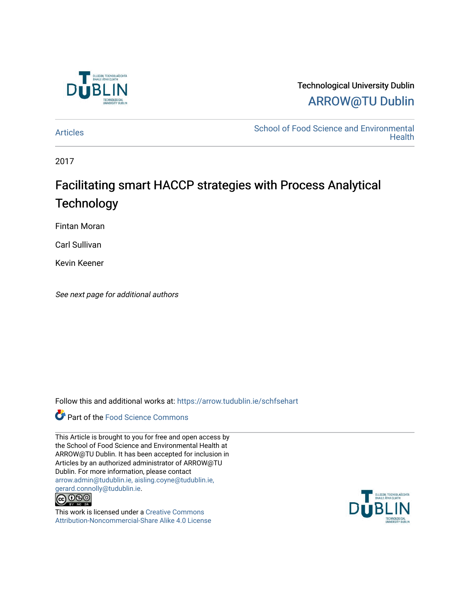

# Technological University Dublin [ARROW@TU Dublin](https://arrow.tudublin.ie/)

[Articles](https://arrow.tudublin.ie/schfsehart) **School of Food Science and Environmental Health** 

2017

# Facilitating smart HACCP strategies with Process Analytical **Technology**

Fintan Moran

Carl Sullivan

Kevin Keener

See next page for additional authors

Follow this and additional works at: [https://arrow.tudublin.ie/schfsehart](https://arrow.tudublin.ie/schfsehart?utm_source=arrow.tudublin.ie%2Fschfsehart%2F465&utm_medium=PDF&utm_campaign=PDFCoverPages) 

## Part of the [Food Science Commons](http://network.bepress.com/hgg/discipline/84?utm_source=arrow.tudublin.ie%2Fschfsehart%2F465&utm_medium=PDF&utm_campaign=PDFCoverPages)

This Article is brought to you for free and open access by the School of Food Science and Environmental Health at ARROW@TU Dublin. It has been accepted for inclusion in Articles by an authorized administrator of ARROW@TU Dublin. For more information, please contact [arrow.admin@tudublin.ie, aisling.coyne@tudublin.ie,](mailto:arrow.admin@tudublin.ie,%20aisling.coyne@tudublin.ie,%20gerard.connolly@tudublin.ie)  [gerard.connolly@tudublin.ie](mailto:arrow.admin@tudublin.ie,%20aisling.coyne@tudublin.ie,%20gerard.connolly@tudublin.ie).



This work is licensed under a [Creative Commons](http://creativecommons.org/licenses/by-nc-sa/4.0/) [Attribution-Noncommercial-Share Alike 4.0 License](http://creativecommons.org/licenses/by-nc-sa/4.0/)

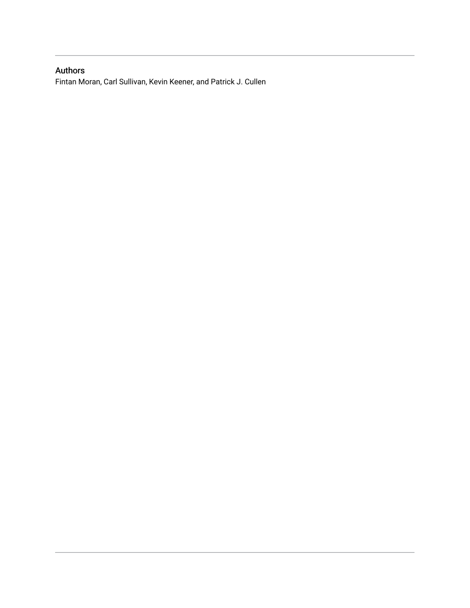## Authors

Fintan Moran, Carl Sullivan, Kevin Keener, and Patrick J. Cullen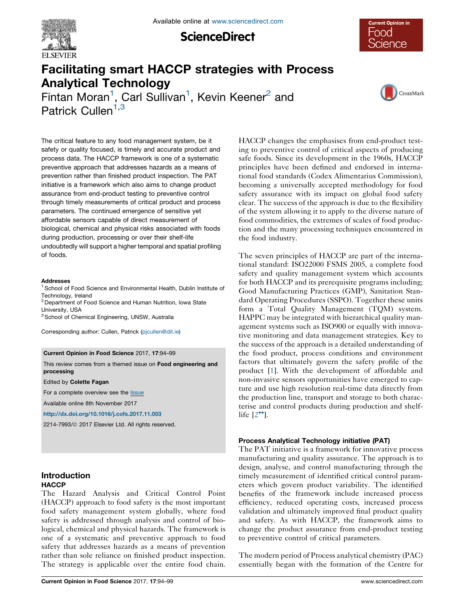

**ScienceDirect** 



# Facilitating smart HACCP strategies with Process Analytical Technology

Fintan Moran<sup>1</sup>, Carl Sullivan<sup>1</sup>, Kevin Keener<sup>2</sup> and Patrick Cullen<sup> $1,3$ </sup>



The critical feature to any food management system, be it safety or quality focused, is timely and accurate product and process data. The HACCP framework is one of a systematic preventive approach that addresses hazards as a means of prevention rather than finished product inspection. The PAT initiative is a framework which also aims to change product assurance from end-product testing to preventive control through timely measurements of critical product and process parameters. The continued emergence of sensitive yet affordable sensors capable of direct measurement of biological, chemical and physical risks associated with foods during production, processing or over their shelf-life undoubtedly will support a higher temporal and spatial profiling of foods.

#### Addresses

<sup>1</sup> School of Food Science and Environmental Health, Dublin Institute of Technology, Ireland

<sup>2</sup> Department of Food Science and Human Nutrition, Iowa State University, USA

<sup>3</sup> School of Chemical Engineering, UNSW, Australia

Corresponding author: Cullen, Patrick [\(pjcullen@dit.ie](mailto:pjcullen@dit.ie))

#### Current Opinion in Food Science 2017, 17:94–99

This review comes from a themed issue on Food engineering and processing

Edited by Colette Fagan

For a complete overview see the **[Issue](http://www.sciencedirect.com/science/journal/22147993/17)** 

Available online 8th November 2017

<http://dx.doi.org/10.1016/j.cofs.2017.11.003>

2214-7993/© 2017 Elsevier Ltd. All rights reserved.

#### Introduction **HACCP**

The Hazard Analysis and Critical Control Point (HACCP) approach to food safety is the most important food safety management system globally, where food safety is addressed through analysis and control of biological, chemical and physical hazards. The framework is one of a systematic and preventive approach to food safety that addresses hazards as a means of prevention rather than sole reliance on finished product inspection. The strategy is applicable over the entire food chain.

HACCP changes the emphasises from end-product testing to preventive control of critical aspects of producing safe foods. Since its development in the 1960s, HACCP principles have been defined and endorsed in international food standards (Codex Alimentarius Commission), becoming a universally accepted methodology for food safety assurance with its impact on global food safety clear. The success of the approach is due to the flexibility of the system allowing it to apply to the diverse nature of food commodities, the extremes of scales of food production and the many processing techniques encountered in the food industry.

The seven principles of HACCP are part of the international standard: ISO22000 FSMS 2005, a complete food safety and quality management system which accounts for both HACCP and its prerequisite programs including; Good Manufacturing Practices (GMP), Sanitation Standard Operating Procedures (SSPO). Together these units form a Total Quality Management (TQM) system. HAPPC may be integrated with hierarchical quality management systems such as ISO900 or equally with innovative monitoring and data management strategies. Key to the success of the approach is a detailed understanding of the food product, process conditions and environment factors that ultimately govern the safety profile of the product [\[1](#page-6-0)]. With the development of affordable and non-invasive sensors opportunities have emerged to capture and use high resolution real-time data directly from the production line, transport and storage to both characterise and control products during production and shelflife  $[2^{\bullet\bullet}].$  $[2^{\bullet\bullet}].$ 

#### Process Analytical Technology initiative (PAT)

The PAT initiative is a framework for innovative process manufacturing and quality assurance. The approach is to design, analyse, and control manufacturing through the timely measurement of identified critical control parameters which govern product variability. The identified benefits of the framework include increased process efficiency, reduced operating costs, increased process validation and ultimately improved final product quality and safety. As with HACCP, the framework aims to change the product assurance from end-product testing to preventive control of critical parameters.

The modern period of Process analytical chemistry (PAC) essentially began with the formation of the Centre for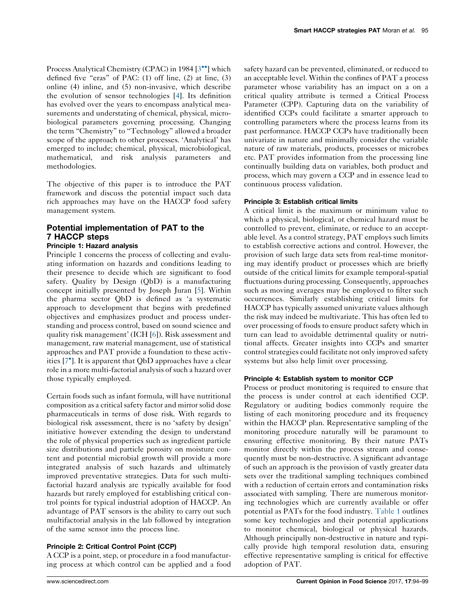Process Analytical Chemistry (CPAC) in 1984 [3<sup>\*\*</sup>] [which](#page-6-0) defined five "eras" of PAC: (1) off line, (2) at line, (3) online (4) inline, and (5) non-invasive, which describe the evolution of sensor technologies [\[4](#page-6-0)]. Its definition has evolved over the years to encompass analytical measurements and understating of chemical, physical, microbiological parameters governing processing. Changing the term "Chemistry" to "Technology" allowed a broader scope of the approach to other processes. 'Analytical' has emerged to include; chemical, physical, microbiological, mathematical, and risk analysis parameters and methodologies.

The objective of this paper is to introduce the PAT framework and discuss the potential impact such data rich approaches may have on the HACCP food safety management system.

### Potential implementation of PAT to the 7 HACCP steps

#### Principle 1: Hazard analysis

Principle 1 concerns the process of collecting and evaluating information on hazards and conditions leading to their presence to decide which are significant to food safety. Quality by Design (QbD) is a manufacturing concept initially presented by Joseph Juran [\[5](#page-6-0)]. Within the pharma sector QbD is defined as 'a systematic approach to development that begins with predefined objectives and emphasizes product and process understanding and process control, based on sound science and quality risk management' (ICH [\[6](#page-6-0)]). Risk assessment and management, raw material management, use of statistical approaches and PAT provide a foundation to these activities [7 ]. It is apparent that QbD [approaches](#page-6-0) have a clear role in a more multi-factorial analysis of such a hazard over those typically employed.

Certain foods such as infant formula, will have nutritional composition as a critical safety factor and mirror solid dose pharmaceuticals in terms of dose risk. With regards to biological risk assessment, there is no 'safety by design' initiative however extending the design to understand the role of physical properties such as ingredient particle size distributions and particle porosity on moisture content and potential microbial growth will provide a more integrated analysis of such hazards and ultimately improved preventative strategies. Data for such multifactorial hazard analysis are typically available for food hazards but rarely employed for establishing critical control points for typical industrial adoption of HACCP. An advantage of PAT sensors is the ability to carry out such multifactorial analysis in the lab followed by integration of the same sensor into the process line.

#### Principle 2: Critical Control Point (CCP)

A CCP is a point, step, or procedure in a food manufacturing process at which control can be applied and a food safety hazard can be prevented, eliminated, or reduced to an acceptable level. Within the confines of PAT a process parameter whose variability has an impact on a on a critical quality attribute is termed a Critical Process Parameter (CPP). Capturing data on the variability of identified CCPs could facilitate a smarter approach to controlling parameters where the process learns from its past performance. HACCP CCPs have traditionally been univariate in nature and minimally consider the variable nature of raw materials, products, processes or microbes etc. PAT provides information from the processing line continually building data on variables, both product and process, which may govern a CCP and in essence lead to continuous process validation.

#### Principle 3: Establish critical limits

A critical limit is the maximum or minimum value to which a physical, biological, or chemical hazard must be controlled to prevent, eliminate, or reduce to an acceptable level. As a control strategy, PAT employs such limits to establish corrective actions and control. However, the provision of such large data sets from real-time monitoring may identify product or processes which are briefly outside of the critical limits for example temporal-spatial fluctuations during processing. Consequently, approaches such as moving averages may be employed to filter such occurrences. Similarly establishing critical limits for HACCP has typically assumed univariate values although the risk may indeed be multivariate. This has often led to over processing of foods to ensure product safety which in turn can lead to avoidable detrimental quality or nutritional affects. Greater insights into CCPs and smarter control strategies could facilitate not only improved safety systems but also help limit over processing.

#### Principle 4: Establish system to monitor CCP

Process or product monitoring is required to ensure that the process is under control at each identified CCP. Regulatory or auditing bodies commonly require the listing of each monitoring procedure and its frequency within the HACCP plan. Representative sampling of the monitoring procedure naturally will be paramount to ensuring effective monitoring. By their nature PATs monitor directly within the process stream and consequently must be non-destructive. A significant advantage of such an approach is the provision of vastly greater data sets over the traditional sampling techniques combined with a reduction of certain errors and contamination risks associated with sampling. There are numerous monitoring technologies which are currently available or offer potential as PATs for the food industry. [Table](#page-4-0) 1 outlines some key technologies and their potential applications to monitor chemical, biological or physical hazards. Although principally non-destructive in nature and typically provide high temporal resolution data, ensuring effective representative sampling is critical for effective adoption of PAT.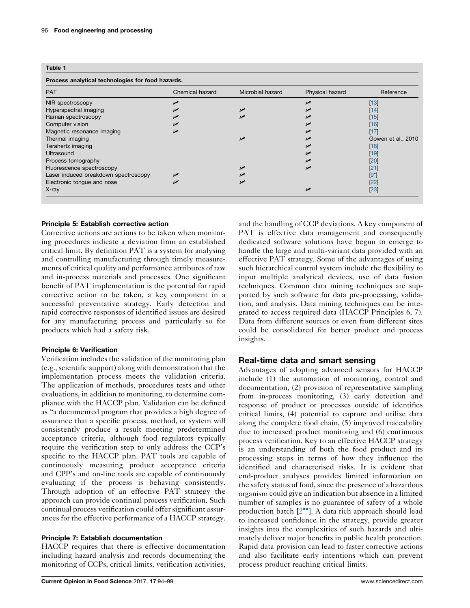<span id="page-4-0"></span>

| Table 1<br>Process analytical technologies for food hazards. |  |  |  |                    |
|--------------------------------------------------------------|--|--|--|--------------------|
|                                                              |  |  |  |                    |
| NIR spectroscopy                                             |  |  |  | $[13]$             |
| Hyperspectral imaging                                        |  |  |  | [14]               |
| Raman spectroscopy                                           |  |  |  | $[15]$             |
| Computer vision                                              |  |  |  | $[16]$             |
| Magnetic resonance imaging                                   |  |  |  | $[17]$             |
| Thermal imaging                                              |  |  |  | Gowen et al., 2010 |
| Terahertz imaging                                            |  |  |  | $[18]$             |
| Ultrasound                                                   |  |  |  | $[19]$             |
| Process tomography                                           |  |  |  | $[20]$             |
| Fluorescence spectroscopy                                    |  |  |  | $[21]$             |
| Laser induced breakdown spectroscopy                         |  |  |  | $[9^{\circ}]$      |
| Electronic tongue and nose                                   |  |  |  | [22]               |
| $X$ -ray                                                     |  |  |  | $[23]$             |

#### Principle 5: Establish corrective action

Corrective actions are actions to be taken when monitoring procedures indicate a deviation from an established critical limit. By definition PAT is a system for analysing and controlling manufacturing through timely measurements of critical quality and performance attributes of raw and in-process materials and processes. One significant benefit of PAT implementation is the potential for rapid corrective action to be taken, a key component in a successful preventative strategy. Early detection and rapid corrective responses of identified issues are desired for any manufacturing process and particularly so for products which had a safety risk.

#### Principle 6: Verification

Verification includes the validation of the monitoring plan (e.g., scientific support) along with demonstration that the implementation process meets the validation criteria. The application of methods, procedures tests and other evaluations, in addition to monitoring, to determine compliance with the HACCP plan. Validation can be defined as "a documented program that provides a high degree of assurance that a specific process, method, or system will consistently produce a result meeting predetermined acceptance criteria, although food regulators typically require the verification step to only address the CCP's specific to the HACCP plan. PAT tools are capable of continuously measuring product acceptance criteria and CPP's and on-line tools are capable of continuously evaluating if the process is behaving consistently. Through adoption of an effective PAT strategy the approach can provide continual process verification. Such continual process verification could offer significant assurances for the effective performance of a HACCP strategy.

#### Principle 7: Establish documentation

HACCP requires that there is effective documentation including hazard analysis and records documenting the monitoring of CCPs, critical limits, verification activities,

Current Opinion in Food Science 2017, 17:94–99 www.sciencedirect.com

and the handling of CCP deviations. A key component of PAT is effective data management and consequently dedicated software solutions have begun to emerge to handle the large and multi-variant data provided with an effective PAT strategy. Some of the advantages of using such hierarchical control system include the flexibility to input multiple analytical devices, use of data fusion techniques. Common data mining techniques are supported by such software for data pre-processing, validation, and analysis. Data mining techniques can be integrated to access required data (HACCP Principles 6, 7). Data from different sources or even from different sites could be consolidated for better product and process insights.

#### Real-time data and smart sensing

Advantages of adopting advanced sensors for HACCP include (1) the automation of monitoring, control and documentation, (2) provision of representative sampling from in-process monitoring, (3) early detection and response of product or processes outside of identifies critical limits, (4) potential to capture and utilise data along the complete food chain, (5) improved traceability due to increased product monitoring and (6) continuous process verification. Key to an effective HACCP strategy is an understanding of both the food product and its processing steps in terms of how they influence the identified and characterised risks. It is evident that end-product analyses provides limited information on the safety status of food, since the presence of a hazardous organism could give an indication but absence in a limited number of samples is no guarantee of safety of a whole production batch  $[2^{\bullet\bullet}]$ . A data rich [approach](#page-6-0) should lead to increased confidence in the strategy, provide greater insights into the complexities of such hazards and ultimately deliver major benefits in public health protection. Rapid data provision can lead to faster corrective actions and also facilitate early intentions which can prevent process product reaching critical limits.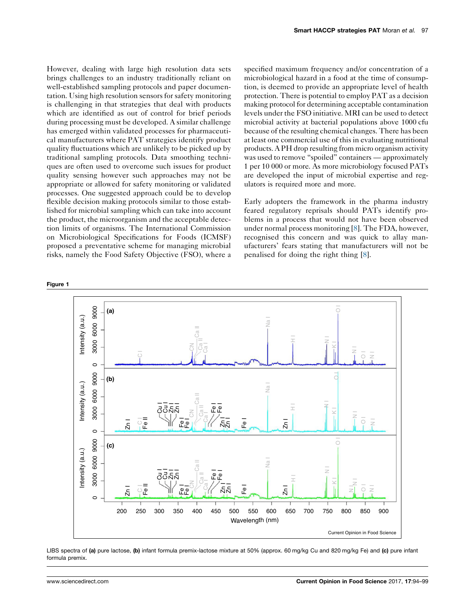<span id="page-5-0"></span>However, dealing with large high resolution data sets brings challenges to an industry traditionally reliant on well-established sampling protocols and paper documentation. Using high resolution sensors for safety monitoring is challenging in that strategies that deal with products which are identified as out of control for brief periods during processing must be developed. A similar challenge has emerged within validated processes for pharmaceutical manufacturers where PAT strategies identify product quality fluctuations which are unlikely to be picked up by traditional sampling protocols. Data smoothing techniques are often used to overcome such issues for product quality sensing however such approaches may not be appropriate or allowed for safety monitoring or validated processes. One suggested approach could be to develop flexible decision making protocols similar to those established for microbial sampling which can take into account the product, the microorganism and the acceptable detection limits of organisms. The International Commission on Microbiological Specifications for Foods (ICMSF) proposed a preventative scheme for managing microbial risks, namely the Food Safety Objective (FSO), where a

specified maximum frequency and/or concentration of a microbiological hazard in a food at the time of consumption, is deemed to provide an appropriate level of health protection. There is potential to employ PAT as a decision making protocol for determining acceptable contamination levels under the FSO initiative. MRI can be used to detect microbial activity at bacterial populations above 1000 cfu because of the resulting chemical changes. There has been at least one commercial use of this in evaluating nutritional products. A PH drop resulting from micro organism activity was used to remove "spoiled" containers — approximately 1 per 10 000 or more. As more microbiology focused PATs are developed the input of microbial expertise and regulators is required more and more.

Early adopters the framework in the pharma industry feared regulatory reprisals should PATs identify problems in a process that would not have been observed under normal process monitoring [[8\]](#page-6-0). The FDA, however, recognised this concern and was quick to allay manufacturers' fears stating that manufacturers will not be penalised for doing the right thing [\[8](#page-6-0)].



LIBS spectra of (a) pure lactose, (b) infant formula premix-lactose mixture at 50% (approx. 60 mg/kg Cu and 820 mg/kg Fe) and (c) pure infant formula premix.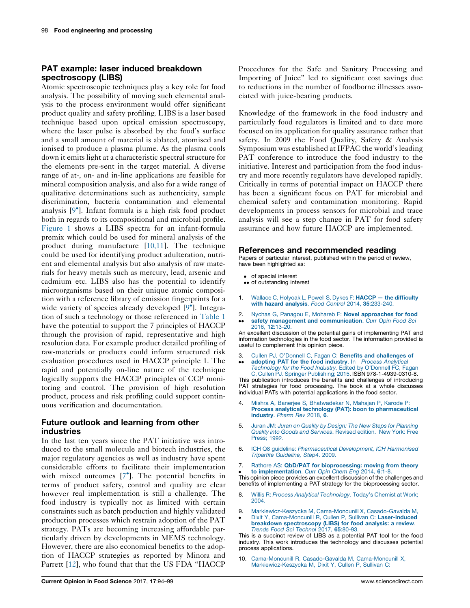### <span id="page-6-0"></span>PAT example: laser induced breakdown spectroscopy (LIBS)

Atomic spectroscopic techniques play a key role for food analysis. The possibility of moving such elemental analysis to the process environment would offer significant product quality and safety profiling. LIBS is a laser based technique based upon optical emission spectroscopy, where the laser pulse is absorbed by the food's surface and a small amount of material is ablated, atomised and ionised to produce a plasma plume. As the plasma cools down it emits light at a characteristic spectral structure for the elements pre-sent in the target material. A diverse range of at-, on- and in-line applications are feasible for mineral composition analysis, and also for a wide range of qualitative determinations such as authenticity, sample discrimination, bacteria contamination and elemental analysis [9 ]. Infant formula is a high risk food product both in regards to its compositional and microbial profile. [Figure](#page-5-0) 1 shows a LIBS spectra for an infant-formula premix which could be used for mineral analysis of the product during manufacture [10,11]. The technique could be used for identifying product adulteration, nutrient and elemental analysis but also analysis of raw materials for heavy metals such as mercury, lead, arsenic and cadmium etc. LIBS also has the potential to identify microorganisms based on their unique atomic composition with a reference library of emission fingerprints for a wide variety of species already developed [9 ]. Integration of such a technology or those referenced in [Table](#page-4-0) 1 have the potential to support the 7 principles of HACCP through the provision of rapid, representative and high resolution data. For example product detailed profiling of raw-materials or products could inform structured risk evaluation procedures used in HACCP principle 1. The rapid and potentially on-line nature of the technique logically supports the HACCP principles of CCP monitoring and control. The provision of high resolution product, process and risk profiling could support continuous verification and documentation.

#### Future outlook and learning from other industries

In the last ten years since the PAT initiative was introduced to the small molecule and biotech industries, the major regulatory agencies as well as industry have spent considerable efforts to facilitate their implementation with mixed outcomes [7 ]. The potential benefits in terms of product safety, control and quality are clear however real implementation is still a challenge. The food industry is typically not as limited with certain constraints such as batch production and highly validated production processes which restrain adoption of the PAT strategy. PATs are becoming increasing affordable particularly driven by developments in MEMS technology. However, there are also economical benefits to the adoption of HACCP strategies as reported by Minora and Parrett [\[12](#page-7-0)], who found that that the US FDA "HACCP

Procedures for the Safe and Sanitary Processing and Importing of Juice" led to significant cost savings due to reductions in the number of foodborne illnesses associated with juice-bearing products.

Knowledge of the framework in the food industry and particularly food regulators is limited and to date more focused on its application for quality assurance rather that safety. In 2009 the Food Quality, Safety & Analysis Symposium was established at IFPAC the world's leading PAT conference to introduce the food industry to the initiative. Interest and participation from the food industry and more recently regulators have developed rapidly. Critically in terms of potential impact on HACCP there has been a significant focus on PAT for microbial and chemical safety and contamination monitoring. Rapid developments in process sensors for microbial and trace analysis will see a step change in PAT for food safety assurance and how future HACCP are implemented.

#### References and recommended reading

Papers of particular interest, published within the period of review, have been highlighted as:

- of special interest
- •• of outstanding interest
- 1. Wallace C, Holyoak L, Powell S, Dykes F: HACCP the [difficulty](http://refhub.elsevier.com/S2214-7993(17)30176-5/sbref0125) with hazard analysis. Food Control 2014, 35[:233-240.](http://refhub.elsevier.com/S2214-7993(17)30176-5/sbref0125)
- $\mathcal{L}$  $\bullet\bullet$ Nychas G, Panagou E, Mohareb F: Novel [approaches](http://refhub.elsevier.com/S2214-7993(17)30176-5/sbref0130) for food safety management and [communication](http://refhub.elsevier.com/S2214-7993(17)30176-5/sbref0130). Curr Opin Food Sci 2016, 12[:13-20.](http://refhub.elsevier.com/S2214-7993(17)30176-5/sbref0130)

An excellent discussion of the potential gains of implementing PAT and information technologies in the food sector. The information provided is useful to complement this opinion piece.

- 3. Cullen PJ, O'Donnell C, Fagan C: Benefits and [challenges](http://refhub.elsevier.com/S2214-7993(17)30176-5/sbref0135) of
- $\ddot{\phantom{0}}$ adopting PAT for the food industry. In Process [Analytical](http://refhub.elsevier.com/S2214-7993(17)30176-5/sbref0135) [Technology](http://refhub.elsevier.com/S2214-7993(17)30176-5/sbref0135) for the Food Industry. Edited by O'Donnell FC, Fagan C, Cullen PJ. Springer Publishing; 2015. ISBN [978-1-4939-0310-8](http://refhub.elsevier.com/S2214-7993(17)30176-5/sbref0135).

This publication introduces the benefits and challenges of introducing PAT strategies for food processing. The book at a whole discusses individual PATs with potential applications in the food sector.

- 4. Mishra A, Banerjee S, [Bhatwadekar](http://refhub.elsevier.com/S2214-7993(17)30176-5/sbref0180) N, Mahajan P, Karode P: Process analytical technology (PAT): boon to [pharmaceutical](http://refhub.elsevier.com/S2214-7993(17)30176-5/sbref0180) [industry](http://refhub.elsevier.com/S2214-7993(17)30176-5/sbref0180). Pharm Rev 2018, 6.
- 5. Juran JM: Juran on Quality by Design: The New Steps for [Planning](http://refhub.elsevier.com/S2214-7993(17)30176-5/sbref0140) Quality into Goods and [Services](http://refhub.elsevier.com/S2214-7993(17)30176-5/sbref0140). Revised edition. New York: Free [Press;](http://refhub.elsevier.com/S2214-7993(17)30176-5/sbref0140) 1992.
- 6. ICH Q8 guideline: [Pharmaceutical](http://refhub.elsevier.com/S2214-7993(17)30176-5/sbref0145) Development, ICH Harmonised Tripartite [Guideline,](http://refhub.elsevier.com/S2214-7993(17)30176-5/sbref0145) Step4. 2009.
- 7. Rathore AS: QbD/PAT for [bioprocessing:](http://refhub.elsevier.com/S2214-7993(17)30176-5/sbref0150) moving from theory to [implementation](http://refhub.elsevier.com/S2214-7993(17)30176-5/sbref0150). Curr Opin Chem Eng 2014, 6:1-8.

• **to implementation**. *Curr Opin Chem Eng* 2014, 6:1-8.<br>This opinion piece provides an excellent discussion of the challenges and benefits of implementing a PAT strategy for the bioprocessing sector.

- 8. Willis R: Process Analytical [Technology](http://refhub.elsevier.com/S2214-7993(17)30176-5/sbref0155). Today's Chemist at Work; [2004.](http://refhub.elsevier.com/S2214-7993(17)30176-5/sbref0155)
- 9. [Markiewicz-Keszycka](http://refhub.elsevier.com/S2214-7993(17)30176-5/sbref0160) M, Cama-Moncunill X, Casado-Gavalda M,
- $\cdot$ Dixit Y, [Cama-Moncunill](http://refhub.elsevier.com/S2214-7993(17)30176-5/sbref0160) R, Cullen P, Sullivan C: Laser-induced breakdown [spectroscopy](http://refhub.elsevier.com/S2214-7993(17)30176-5/sbref0160) (LIBS) for food analysis: a review. Trends Food Sci [Technol](http://refhub.elsevier.com/S2214-7993(17)30176-5/sbref0160) 2017, 65:80-93.

This is a succinct review of LIBS as a potential PAT tool for the food industry. This work introduces the technology and discusses potential process applications.

10. Cama-Moncunill R, [Casado-Gavalda](http://refhub.elsevier.com/S2214-7993(17)30176-5/sbref0165) M, Cama-Moncunill X, [Markiewicz-Keszycka](http://refhub.elsevier.com/S2214-7993(17)30176-5/sbref0165) M, Dixit Y, Cullen P, Sullivan C: